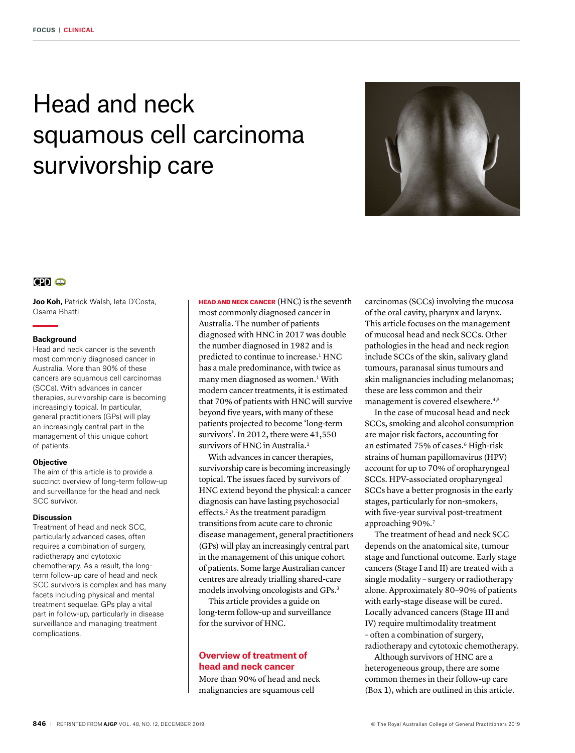# Head and neck squamous cell carcinoma survivorship care



# $CD<sub>CD</sub>$

**Joo Koh,** Patrick Walsh, Ieta D'Costa, Osama Bhatti

## **Background**

Head and neck cancer is the seventh most commonly diagnosed cancer in Australia. More than 90% of these cancers are squamous cell carcinomas (SCCs). With advances in cancer therapies, survivorship care is becoming increasingly topical. In particular, general practitioners (GPs) will play an increasingly central part in the management of this unique cohort of patients.

#### **Objective**

The aim of this article is to provide a succinct overview of long-term follow-up and surveillance for the head and neck SCC survivor.

### **Discussion**

Treatment of head and neck SCC, particularly advanced cases, often requires a combination of surgery, radiotherapy and cytotoxic chemotherapy. As a result, the longterm follow-up care of head and neck SCC survivors is complex and has many facets including physical and mental treatment sequelae. GPs play a vital part in follow-up, particularly in disease surveillance and managing treatment complications.

HEAD AND NECK CANCER (HNC) is the seventh most commonly diagnosed cancer in Australia. The number of patients diagnosed with HNC in 2017 was double the number diagnosed in 1982 and is predicted to continue to increase.<sup>1</sup> HNC has a male predominance, with twice as many men diagnosed as women.<sup>1</sup> With modern cancer treatments, it is estimated that 70% of patients with HNC will survive beyond five years, with many of these patients projected to become 'long-term survivors'. In 2012, there were 41,550 survivors of HNC in Australia.<sup>1</sup>

With advances in cancer therapies, survivorship care is becoming increasingly topical. The issues faced by survivors of HNC extend beyond the physical: a cancer diagnosis can have lasting psychosocial effects.<sup>2</sup> As the treatment paradigm transitions from acute care to chronic disease management, general practitioners (GPs) will play an increasingly central part in the management of this unique cohort of patients. Some large Australian cancer centres are already trialling shared-care models involving oncologists and GPs.3

This article provides a guide on long-term follow-up and surveillance for the survivor of HNC.

# **Overview of treatment of head and neck cancer**

More than 90% of head and neck malignancies are squamous cell

carcinomas (SCCs) involving the mucosa of the oral cavity, pharynx and larynx. This article focuses on the management of mucosal head and neck SCCs. Other pathologies in the head and neck region include SCCs of the skin, salivary gland tumours, paranasal sinus tumours and skin malignancies including melanomas; these are less common and their management is covered elsewhere.<sup>4,5</sup>

In the case of mucosal head and neck SCCs, smoking and alcohol consumption are major risk factors, accounting for an estimated 75% of cases.<sup>6</sup> High-risk strains of human papillomavirus (HPV) account for up to 70% of oropharyngeal SCCs. HPV-associated oropharyngeal SCCs have a better prognosis in the early stages, particularly for non-smokers, with five-year survival post-treatment approaching 90%.7

The treatment of head and neck SCC depends on the anatomical site, tumour stage and functional outcome. Early stage cancers (Stage I and II) are treated with a single modality – surgery or radiotherapy alone. Approximately 80–90% of patients with early-stage disease will be cured. Locally advanced cancers (Stage III and IV) require multimodality treatment – often a combination of surgery, radiotherapy and cytotoxic chemotherapy.

Although survivors of HNC are a heterogeneous group, there are some common themes in their follow-up care (Box 1), which are outlined in this article.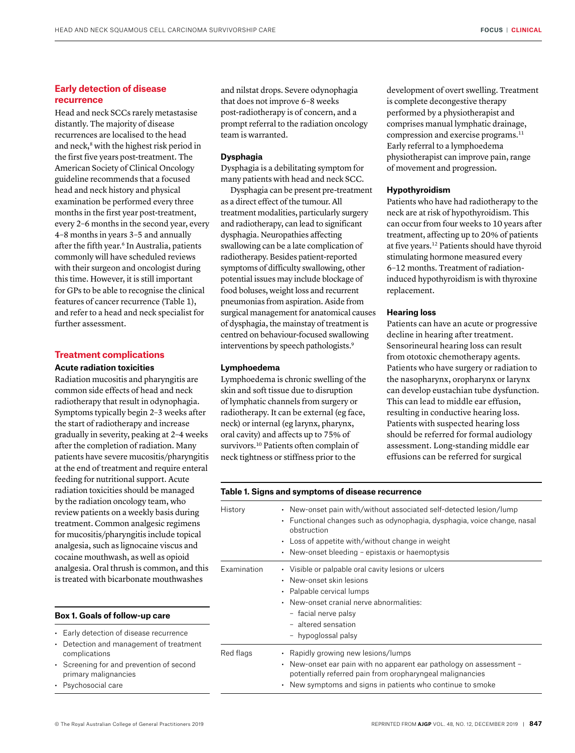# **Early detection of disease recurrence**

Head and neck SCCs rarely metastasise distantly. The majority of disease recurrences are localised to the head and neck,<sup>8</sup> with the highest risk period in the first five years post-treatment. The American Society of Clinical Oncology guideline recommends that a focused head and neck history and physical examination be performed every three months in the first year post-treatment, every 2–6 months in the second year, every 4–8 months in years 3–5 and annually after the fifth year.<sup>6</sup> In Australia, patients commonly will have scheduled reviews with their surgeon and oncologist during this time. However, it is still important for GPs to be able to recognise the clinical features of cancer recurrence (Table 1), and refer to a head and neck specialist for further assessment.

# **Treatment complications**

#### **Acute radiation toxicities**

Radiation mucositis and pharyngitis are common side effects of head and neck radiotherapy that result in odynophagia. Symptoms typically begin 2–3 weeks after the start of radiotherapy and increase gradually in severity, peaking at 2–4 weeks after the completion of radiation. Many patients have severe mucositis/pharyngitis at the end of treatment and require enteral feeding for nutritional support. Acute radiation toxicities should be managed by the radiation oncology team, who review patients on a weekly basis during treatment. Common analgesic regimens for mucositis/pharyngitis include topical analgesia, such as lignocaine viscus and cocaine mouthwash, as well as opioid analgesia. Oral thrush is common, and this is treated with bicarbonate mouthwashes

# **Box 1. Goals of follow-up care**

- Early detection of disease recurrence
- Detection and management of treatment complications
- Screening for and prevention of second primary malignancies
- Psychosocial care

and nilstat drops. Severe odynophagia that does not improve 6–8 weeks post-radiotherapy is of concern, and a prompt referral to the radiation oncology team is warranted.

# **Dysphagia**

Dysphagia is a debilitating symptom for many patients with head and neck SCC.

Dysphagia can be present pre-treatment as a direct effect of the tumour. All treatment modalities, particularly surgery and radiotherapy, can lead to significant dysphagia. Neuropathies affecting swallowing can be a late complication of radiotherapy. Besides patient-reported symptoms of difficulty swallowing, other potential issues may include blockage of food boluses, weight loss and recurrent pneumonias from aspiration. Aside from surgical management for anatomical causes of dysphagia, the mainstay of treatment is centred on behaviour-focused swallowing interventions by speech pathologists.<sup>9</sup>

#### **Lymphoedema**

Lymphoedema is chronic swelling of the skin and soft tissue due to disruption of lymphatic channels from surgery or radiotherapy. It can be external (eg face, neck) or internal (eg larynx, pharynx, oral cavity) and affects up to 75% of survivors.<sup>10</sup> Patients often complain of neck tightness or stiffness prior to the

development of overt swelling. Treatment is complete decongestive therapy performed by a physiotherapist and comprises manual lymphatic drainage, compression and exercise programs.<sup>11</sup> Early referral to a lymphoedema physiotherapist can improve pain, range of movement and progression.

#### **Hypothyroidism**

Patients who have had radiotherapy to the neck are at risk of hypothyroidism. This can occur from four weeks to 10 years after treatment, affecting up to 20% of patients at five years.12 Patients should have thyroid stimulating hormone measured every 6–12 months. Treatment of radiationinduced hypothyroidism is with thyroxine replacement.

#### **Hearing loss**

Patients can have an acute or progressive decline in hearing after treatment. Sensorineural hearing loss can result from ototoxic chemotherapy agents. Patients who have surgery or radiation to the nasopharynx, oropharynx or larynx can develop eustachian tube dysfunction. This can lead to middle ear effusion, resulting in conductive hearing loss. Patients with suspected hearing loss should be referred for formal audiology assessment. Long-standing middle ear effusions can be referred for surgical

| History     | • New-onset pain with/without associated self-detected lesion/lump<br>Functional changes such as odynophagia, dysphagia, voice change, nasal<br>$\bullet$<br>obstruction<br>• Loss of appetite with/without change in weight<br>• New-onset bleeding – epistaxis or haemoptysis |
|-------------|---------------------------------------------------------------------------------------------------------------------------------------------------------------------------------------------------------------------------------------------------------------------------------|
| Examination | • Visible or palpable oral cavity lesions or ulcers<br>New-onset skin lesions<br>$\bullet$<br>• Palpable cervical lumps<br>New-onset cranial nerve abnormalities:<br>$\bullet$<br>- facial nerve palsy<br>- altered sensation<br>- hypoglossal palsy                            |
| Red flags   | • Rapidly growing new lesions/lumps<br>New-onset ear pain with no apparent ear pathology on assessment -<br>$\bullet$<br>potentially referred pain from oropharyngeal malignancies<br>• New symptoms and signs in patients who continue to smoke                                |